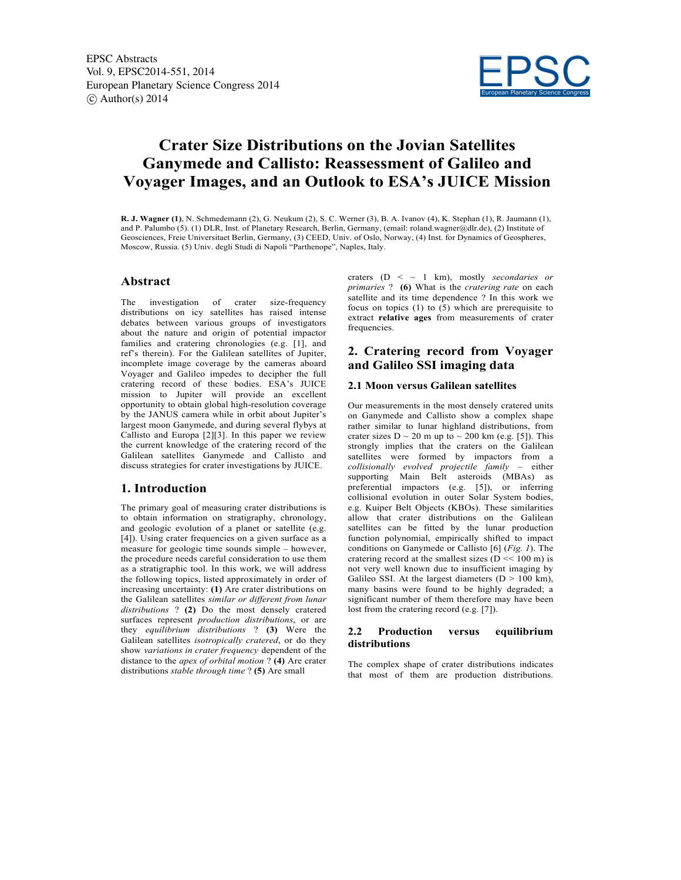

# **Crater Size Distributions on the Jovian Satellites Ganymede and Callisto: Reassessment of Galileo and Voyager Images, and an Outlook to ESA's JUICE Mission**

**R. J. Wagner (1)**, N. Schmedemann (2), G. Neukum (2), S. C. Werner (3), B. A. Ivanov (4), K. Stephan (1), R. Jaumann (1), and P. Palumbo (5). (1) DLR, Inst. of Planetary Research, Berlin, Germany, (email: roland.wagner@dlr.de), (2) Institute of Geosciences, Freie Universitaet Berlin, Germany, (3) CEED, Univ. of Oslo, Norway, (4) Inst. for Dynamics of Geospheres, Moscow, Russia. (5) Univ. degli Studi di Napoli "Parthenope", Naples, Italy.

# **Abstract**

The investigation of crater size-frequency distributions on icy satellites has raised intense debates between various groups of investigators about the nature and origin of potential impactor families and cratering chronologies (e.g. [1], and ref's therein). For the Galilean satellites of Jupiter, incomplete image coverage by the cameras aboard Voyager and Galileo impedes to decipher the full cratering record of these bodies. ESA's JUICE mission to Jupiter will provide an excellent opportunity to obtain global high-resolution coverage by the JANUS camera while in orbit about Jupiter's largest moon Ganymede, and during several flybys at Callisto and Europa [2][3]. In this paper we review the current knowledge of the cratering record of the Galilean satellites Ganymede and Callisto and discuss strategies for crater investigations by JUICE.

## **1. Introduction**

The primary goal of measuring crater distributions is to obtain information on stratigraphy, chronology, and geologic evolution of a planet or satellite (e.g. [4]). Using crater frequencies on a given surface as a measure for geologic time sounds simple – however, the procedure needs careful consideration to use them as a stratigraphic tool. In this work, we will address the following topics, listed approximately in order of increasing uncertainty: **(1)** Are crater distributions on the Galilean satellites *similar or different from lunar distributions* ? **(2)** Do the most densely cratered surfaces represent *production distributions*, or are they *equilibrium distributions* ? **(3)** Were the Galilean satellites *isotropically cratered*, or do they show *variations in crater frequency* dependent of the distance to the *apex of orbital motion* ? **(4)** Are crater distributions *stable through time* ? **(5)** Are small

craters (D < ~ 1 km), mostly *secondaries or primaries* ? **(6)** What is the *cratering rate* on each satellite and its time dependence ? In this work we focus on topics (1) to (5) which are prerequisite to extract **relative ages** from measurements of crater frequencies.

# **2. Cratering record from Voyager and Galileo SSI imaging data**

### **2.1 Moon versus Galilean satellites**

Our measurements in the most densely cratered units on Ganymede and Callisto show a complex shape rather similar to lunar highland distributions, from crater sizes  $D \sim 20$  m up to  $\sim 200$  km (e.g. [5]). This strongly implies that the craters on the Galilean satellites were formed by impactors from a *collisionally evolved projectile family* – either supporting Main Belt asteroids (MBAs) as preferential impactors (e.g. [5]), or inferring collisional evolution in outer Solar System bodies, e.g. Kuiper Belt Objects (KBOs). These similarities allow that crater distributions on the Galilean satellites can be fitted by the lunar production function polynomial, empirically shifted to impact conditions on Ganymede or Callisto [6] (*Fig. 1*). The cratering record at the smallest sizes ( $D \ll 100$  m) is not very well known due to insufficient imaging by Galileo SSI. At the largest diameters  $(D > 100 \text{ km})$ , many basins were found to be highly degraded; a significant number of them therefore may have been lost from the cratering record (e.g. [7]).

## **2.2 Production versus equilibrium distributions**

The complex shape of crater distributions indicates that most of them are production distributions.